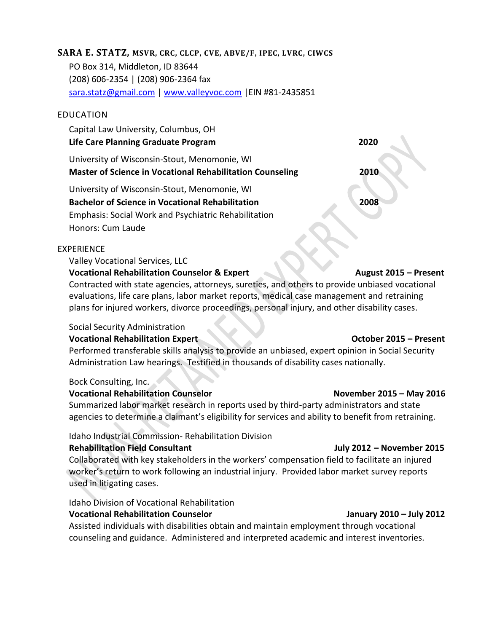# **SARA E. STATZ, MSVR, CRC, CLCP, CVE, ABVE/F, IPEC, LVRC, CIWCS**

PO Box 314, Middleton, ID 83644 (208) 606-2354 | (208) 906-2364 fax [sara.statz@gmail.com](mailto:sara.statz@gmail.com) | [www.valleyvoc.com](http://www.valleyvoc.com/) |EIN #81-2435851

## EDUCATION

Capital Law University, Columbus, OH **Life Care Planning Graduate Program 2020** University of Wisconsin-Stout, Menomonie, WI **Master of Science in Vocational Rehabilitation Counseling 2010** University of Wisconsin-Stout, Menomonie, WI **Bachelor of Science in Vocational Rehabilitation 2008** Emphasis: Social Work and Psychiatric Rehabilitation Honors: Cum Laude

## EXPERIENCE

Valley Vocational Services, LLC

## **Vocational Rehabilitation Counselor & Expert <b>August 2015** – Present

Contracted with state agencies, attorneys, sureties, and others to provide unbiased vocational evaluations, life care plans, labor market reports, medical case management and retraining plans for injured workers, divorce proceedings, personal injury, and other disability cases.

# Social Security Administration

# **Vocational Rehabilitation Expert October 2015 – Present**

Performed transferable skills analysis to provide an unbiased, expert opinion in Social Security Administration Law hearings. Testified in thousands of disability cases nationally.

# Bock Consulting, Inc.

# **Vocational Rehabilitation Counselor November 2015 – May 2016**

Summarized labor market research in reports used by third-party administrators and state agencies to determine a claimant's eligibility for services and ability to benefit from retraining.

# Idaho Industrial Commission- Rehabilitation Division

### **Rehabilitation Field Consultant July 2012 – November 2015**

Collaborated with key stakeholders in the workers' compensation field to facilitate an injured worker's return to work following an industrial injury. Provided labor market survey reports used in litigating cases.

# Idaho Division of Vocational Rehabilitation

# **Vocational Rehabilitation Counselor January 2010 – July 2012**

Assisted individuals with disabilities obtain and maintain employment through vocational counseling and guidance. Administered and interpreted academic and interest inventories.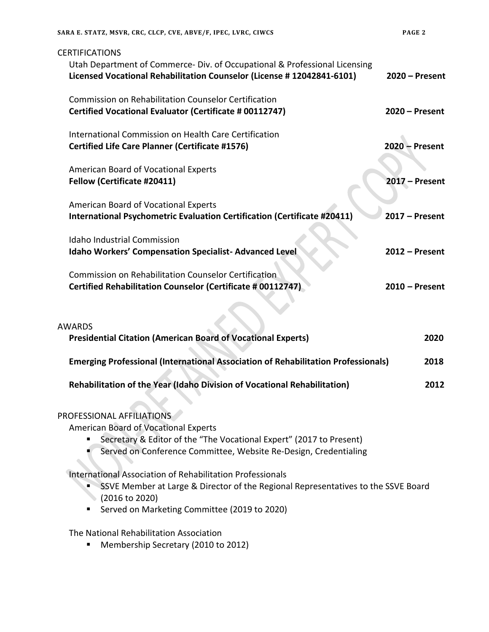| SARA E. STATZ, MSVR, CRC, CLCP, CVE, ABVE/F, IPEC, LVRC, CIWCS                                                                                                                | PAGE <sub>2</sub> |
|-------------------------------------------------------------------------------------------------------------------------------------------------------------------------------|-------------------|
| <b>CERTIFICATIONS</b><br>Utah Department of Commerce- Div. of Occupational & Professional Licensing<br>Licensed Vocational Rehabilitation Counselor (License # 12042841-6101) | $2020 -$ Present  |
|                                                                                                                                                                               |                   |
| <b>Commission on Rehabilitation Counselor Certification</b>                                                                                                                   |                   |
| Certified Vocational Evaluator (Certificate # 00112747)                                                                                                                       | $2020 -$ Present  |
| International Commission on Health Care Certification                                                                                                                         |                   |
| <b>Certified Life Care Planner (Certificate #1576)</b>                                                                                                                        | $2020$ – Present  |
|                                                                                                                                                                               |                   |
| American Board of Vocational Experts                                                                                                                                          |                   |
| Fellow (Certificate #20411)                                                                                                                                                   | $2017 -$ Present  |
| American Board of Vocational Experts                                                                                                                                          |                   |
| International Psychometric Evaluation Certification (Certificate #20411)                                                                                                      | $2017 -$ Present  |
|                                                                                                                                                                               |                   |
| <b>Idaho Industrial Commission</b>                                                                                                                                            |                   |
| Idaho Workers' Compensation Specialist-Advanced Level                                                                                                                         | $2012$ – Present  |
|                                                                                                                                                                               |                   |
| <b>Commission on Rehabilitation Counselor Certification</b>                                                                                                                   |                   |
| <b>Certified Rehabilitation Counselor (Certificate # 00112747)</b>                                                                                                            | $2010$ – Present  |
|                                                                                                                                                                               |                   |
|                                                                                                                                                                               |                   |
| <b>AWARDS</b>                                                                                                                                                                 |                   |
| <b>Presidential Citation (American Board of Vocational Experts)</b>                                                                                                           | 2020              |
| <b>Emerging Professional (International Association of Rehabilitation Professionals)</b>                                                                                      | 2018              |
|                                                                                                                                                                               |                   |
| Rehabilitation of the Year (Idaho Division of Vocational Rehabilitation)                                                                                                      | 2012              |
|                                                                                                                                                                               |                   |
| PROFESSIONAL AFFILIATIONS                                                                                                                                                     |                   |
| American Board of Vocational Experts                                                                                                                                          |                   |
| Secretary & Editor of the "The Vocational Expert" (2017 to Present)                                                                                                           |                   |
| Served on Conference Committee, Website Re-Design, Credentialing                                                                                                              |                   |
|                                                                                                                                                                               |                   |
| International Association of Rehabilitation Professionals                                                                                                                     |                   |
| SSVE Member at Large & Director of the Regional Representatives to the SSVE Board<br>(2016 to 2020)                                                                           |                   |
| Served on Marketing Committee (2019 to 2020)                                                                                                                                  |                   |
|                                                                                                                                                                               |                   |

The National Rehabilitation Association

■ Membership Secretary (2010 to 2012)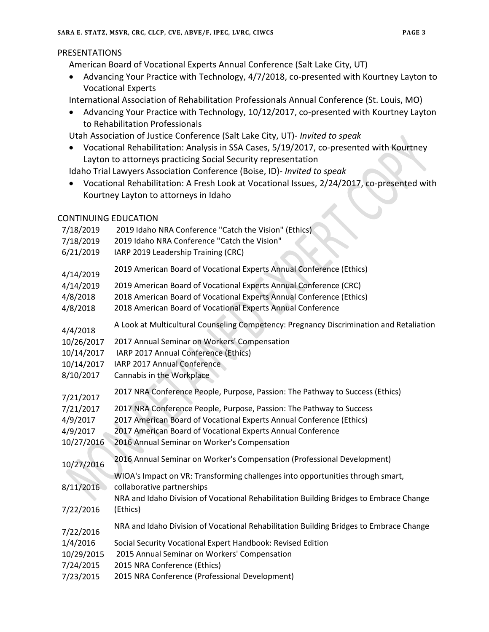### PRESENTATIONS

American Board of Vocational Experts Annual Conference (Salt Lake City, UT)

• Advancing Your Practice with Technology, 4/7/2018, co-presented with Kourtney Layton to Vocational Experts

International Association of Rehabilitation Professionals Annual Conference (St. Louis, MO)

• Advancing Your Practice with Technology, 10/12/2017, co-presented with Kourtney Layton to Rehabilitation Professionals

Utah Association of Justice Conference (Salt Lake City, UT)- *Invited to speak*

• Vocational Rehabilitation: Analysis in SSA Cases, 5/19/2017, co-presented with Kourtney Layton to attorneys practicing Social Security representation

Idaho Trial Lawyers Association Conference (Boise, ID)- *Invited to speak*

• Vocational Rehabilitation: A Fresh Look at Vocational Issues, 2/24/2017, co-presented with Kourtney Layton to attorneys in Idaho

### CONTINUING EDUCATION

| 7/18/2019<br>7/18/2019<br>6/21/2019                 | 2019 Idaho NRA Conference "Catch the Vision" (Ethics)<br>2019 Idaho NRA Conference "Catch the Vision"<br>IARP 2019 Leadership Training (CRC)                                                                                                                |
|-----------------------------------------------------|-------------------------------------------------------------------------------------------------------------------------------------------------------------------------------------------------------------------------------------------------------------|
| 4/14/2019                                           | 2019 American Board of Vocational Experts Annual Conference (Ethics)                                                                                                                                                                                        |
| 4/14/2019<br>4/8/2018<br>4/8/2018                   | 2019 American Board of Vocational Experts Annual Conference (CRC)<br>2018 American Board of Vocational Experts Annual Conference (Ethics)<br>2018 American Board of Vocational Experts Annual Conference                                                    |
| 4/4/2018                                            | A Look at Multicultural Counseling Competency: Pregnancy Discrimination and Retaliation                                                                                                                                                                     |
| 10/26/2017<br>10/14/2017<br>10/14/2017<br>8/10/2017 | 2017 Annual Seminar on Workers' Compensation<br>IARP 2017 Annual Conference (Ethics)<br>IARP 2017 Annual Conference<br>Cannabis in the Workplace                                                                                                            |
| 7/21/2017                                           | 2017 NRA Conference People, Purpose, Passion: The Pathway to Success (Ethics)                                                                                                                                                                               |
| 7/21/2017<br>4/9/2017<br>4/9/2017<br>10/27/2016     | 2017 NRA Conference People, Purpose, Passion: The Pathway to Success<br>2017 American Board of Vocational Experts Annual Conference (Ethics)<br>2017 American Board of Vocational Experts Annual Conference<br>2016 Annual Seminar on Worker's Compensation |
| 10/27/2016                                          | 2016 Annual Seminar on Worker's Compensation (Professional Development)                                                                                                                                                                                     |
| 8/11/2016<br>7/22/2016                              | WIOA's Impact on VR: Transforming challenges into opportunities through smart,<br>collaborative partnerships<br>NRA and Idaho Division of Vocational Rehabilitation Building Bridges to Embrace Change<br>(Ethics)                                          |
| 7/22/2016                                           | NRA and Idaho Division of Vocational Rehabilitation Building Bridges to Embrace Change                                                                                                                                                                      |
| 1/4/2016<br>10/29/2015<br>7/24/2015<br>7/23/2015    | Social Security Vocational Expert Handbook: Revised Edition<br>2015 Annual Seminar on Workers' Compensation<br>2015 NRA Conference (Ethics)<br>2015 NRA Conference (Professional Development)                                                               |
|                                                     |                                                                                                                                                                                                                                                             |